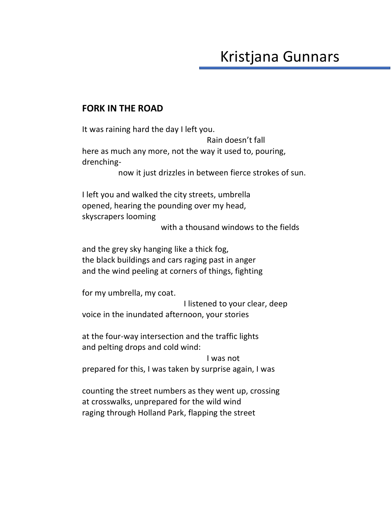## Kristjana Gunnars

## **FORK IN THE ROAD**

It was raining hard the day I left you. Rain doesn't fall here as much any more, not the way it used to, pouring, drenchingnow it just drizzles in between fierce strokes of sun. I left you and walked the city streets, umbrella opened, hearing the pounding over my head, skyscrapers looming with a thousand windows to the fields and the grey sky hanging like a thick fog, the black buildings and cars raging past in anger and the wind peeling at corners of things, fighting for my umbrella, my coat. I listened to your clear, deep voice in the inundated afternoon, your stories at the four-way intersection and the traffic lights and pelting drops and cold wind: I was not prepared for this, I was taken by surprise again, I was counting the street numbers as they went up, crossing at crosswalks, unprepared for the wild wind

raging through Holland Park, flapping the street